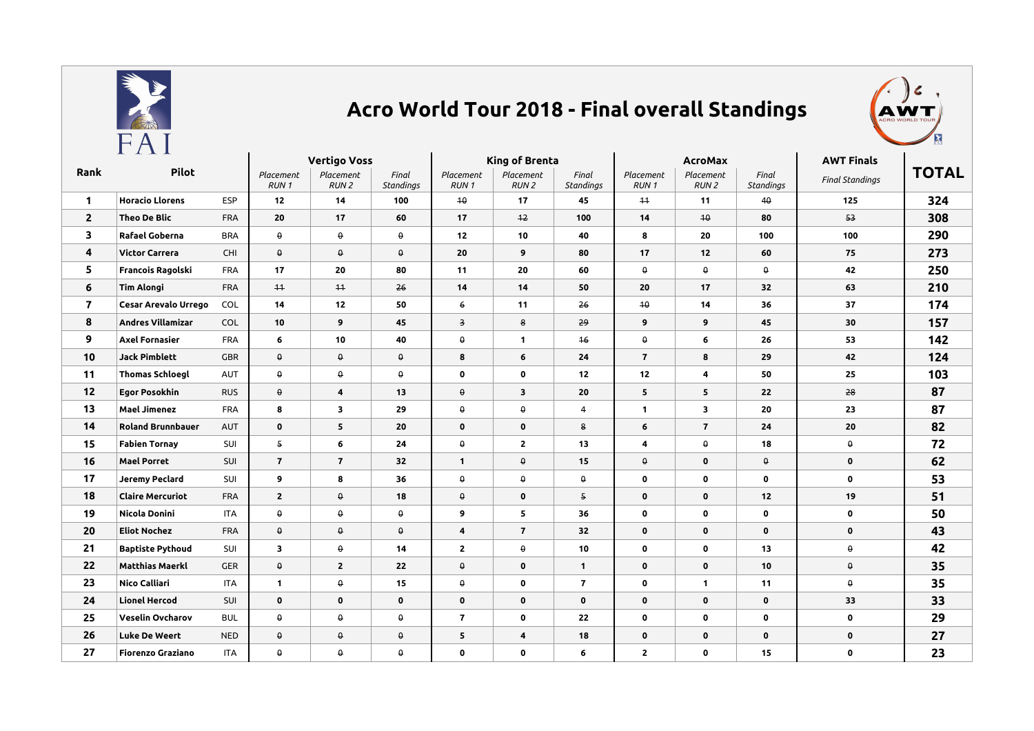

## **Acro World Tour 2018 - Final overall Standings**



|                         | - - - -                     |            | <b>Vertigo Voss</b> |                               |                           | King of Brenta           |                               |                           | <b>AcroMax</b>           |                               |                    | <b>AWT Finals</b>      |              |
|-------------------------|-----------------------------|------------|---------------------|-------------------------------|---------------------------|--------------------------|-------------------------------|---------------------------|--------------------------|-------------------------------|--------------------|------------------------|--------------|
| Rank                    |                             | Pilot      |                     | Placement<br>RUN <sub>2</sub> | Final<br><b>Standings</b> | Placement<br><b>RUN1</b> | Placement<br>RUN <sub>2</sub> | Final<br><b>Standings</b> | Placement<br><b>RUN1</b> | Placement<br>RUN <sub>2</sub> | Final<br>Standings | <b>Final Standings</b> | <b>TOTAL</b> |
| $\mathbf{1}$            | <b>Horacio Llorens</b>      | <b>ESP</b> | 12                  | 14                            | 100                       | 40                       | 17                            | 45                        | $+4$                     | 11                            | 40                 | 125                    | 324          |
| $\overline{2}$          | <b>Theo De Blic</b>         | FRA        | 20                  | 17                            | 60                        | 17                       | 12                            | 100                       | 14                       | $+0$                          | 80                 | 53                     | 308          |
| 3                       | Rafael Goberna              | <b>BRA</b> | $\pmb{\Theta}$      | $\pmb{\Theta}$                | $\pmb{\Theta}$            | 12                       | 10                            | 40                        | 8                        | 20                            | 100                | 100                    | 290          |
| 4                       | <b>Victor Carrera</b>       | <b>CHI</b> | $\theta$            | $\pmb{\Theta}$                | $\theta$                  | 20                       | 9                             | 80                        | 17                       | 12                            | 60                 | 75                     | 273          |
| 5                       | Francois Ragolski           | <b>FRA</b> | 17                  | 20                            | 80                        | 11                       | 20                            | 60                        | $\theta$                 | $\theta$                      | $\theta$           | 42                     | 250          |
| 6                       | <b>Tim Alongi</b>           | <b>FRA</b> | $+4$                | $+1$                          | 26                        | 14                       | 14                            | 50                        | 20                       | 17                            | 32                 | 63                     | 210          |
| $\overline{\mathbf{z}}$ | <b>Cesar Arevalo Urrego</b> | COL        | 14                  | 12                            | 50                        | $6\overline{6}$          | 11                            | 26                        | 40                       | 14                            | 36                 | 37                     | 174          |
| 8                       | <b>Andres Villamizar</b>    | <b>COL</b> | 10                  | 9                             | 45                        | $\overline{\mathbf{3}}$  | 8                             | 29                        | 9                        | 9                             | 45                 | 30                     | 157          |
| 9                       | <b>Axel Fornasier</b>       | <b>FRA</b> | 6                   | 10                            | 40                        | $\pmb{\Theta}$           | $\mathbf{1}$                  | $+6$                      | $\pmb{\Theta}$           | 6                             | 26                 | 53                     | 142          |
| 10                      | <b>Jack Pimblett</b>        | <b>GBR</b> | 0                   | $\pmb{\Theta}$                | $\theta$                  | 8                        | 6                             | 24                        | $\overline{7}$           | 8                             | 29                 | 42                     | 124          |
| 11                      | <b>Thomas Schloegl</b>      | AUT        | $\theta$            | $\pmb{\Theta}$                | θ                         | $\mathbf 0$              | 0                             | 12                        | 12                       | 4                             | 50                 | 25                     | 103          |
| 12                      | <b>Egor Posokhin</b>        | <b>RUS</b> | θ.                  | 4                             | 13                        | $\pmb{\uptheta}$         | $\overline{\mathbf{3}}$       | 20                        | 5                        | 5                             | 22                 | 28                     | 87           |
| 13                      | <b>Mael Jimenez</b>         | <b>FRA</b> | 8                   | $\overline{\mathbf{3}}$       | 29                        | $\pmb{\Theta}$           | $\pmb{\Theta}$                | 4                         | $\mathbf{1}$             | 3                             | 20                 | 23                     | 87           |
| 14                      | <b>Roland Brunnbauer</b>    | AUT        | $\mathbf 0$         | 5                             | 20                        | $\mathbf 0$              | $\mathbf 0$                   | 8                         | 6                        | $\overline{\mathbf{r}}$       | 24                 | 20                     | 82           |
| 15                      | <b>Fabien Tornay</b>        | SUI        | 5                   | 6                             | 24                        | $\pmb{\uprho}$           | $\mathbf{2}$                  | 13                        | 4                        | $\pmb{\Theta}$                | 18                 | $\pmb{\Theta}$         | 72           |
| 16                      | <b>Mael Porret</b>          | SUI        | $\overline{7}$      | $\overline{7}$                | 32                        | $\mathbf{1}$             | $\theta$                      | 15                        | $\theta$                 | $\mathbf 0$                   | $\theta$           | $\mathbf 0$            | 62           |
| 17                      | <b>Jeremy Peclard</b>       | SUI        | 9                   | 8                             | 36                        | $\pmb{\Theta}$           | $\pmb{\Theta}$                | $\pmb{\Theta}$            | 0                        | 0                             | $\mathbf 0$        | $\mathbf 0$            | 53           |
| 18                      | <b>Claire Mercuriot</b>     | FRA        | $\mathbf{2}$        | $\Theta$                      | 18                        | $\Theta$                 | $\mathbf 0$                   | 5                         | $\mathbf 0$              | $\mathbf 0$                   | 12                 | 19                     | 51           |
| 19                      | Nicola Donini               | <b>ITA</b> | $\pmb{\Theta}$      | $\theta$                      | $\pmb{\Theta}$            | 9                        | 5                             | 36                        | $\bf{0}$                 | $\mathbf 0$                   | $\mathbf 0$        | $\mathbf 0$            | 50           |
| 20                      | <b>Eliot Nochez</b>         | <b>FRA</b> | $\pmb{\Theta}$      | $\pmb{\Theta}$                | $\pmb{\Theta}$            | 4                        | $\overline{7}$                | 32                        | $\mathbf 0$              | $\mathbf 0$                   | $\mathbf 0$        | $\mathbf 0$            | 43           |
| 21                      | <b>Baptiste Pythoud</b>     | SUI        | 3                   | $\pmb{\Theta}$                | 14                        | $\mathbf{2}$             | $\theta$                      | 10                        | 0                        | 0                             | 13                 | $\pmb{\Theta}$         | 42           |
| 22                      | <b>Matthias Maerkl</b>      | <b>GER</b> | $\theta$            | $\overline{2}$                | 22                        | $\Theta$                 | $\mathbf 0$                   | $\mathbf{1}$              | $\mathbf 0$              | $\mathbf 0$                   | 10                 | $\pmb{\Theta}$         | 35           |
| 23                      | Nico Calliari               | <b>ITA</b> | $\mathbf{1}$        | $\theta$                      | 15                        | $\pmb{\uprho}$           | 0                             | $\mathbf{7}$              | $\mathbf 0$              | $\mathbf{1}$                  | 11                 | $\theta$               | 35           |
| 24                      | <b>Lionel Hercod</b>        | SUI        | $\mathbf 0$         | $\mathbf 0$                   | $\mathbf 0$               | $\mathbf 0$              | $\mathbf 0$                   | $\mathbf 0$               | $\mathbf 0$              | $\mathbf 0$                   | $\mathbf 0$        | 33                     | 33           |
| 25                      | <b>Veselin Ovcharov</b>     | <b>BUL</b> | $\pmb{\Theta}$      | $\pmb{\Theta}$                | $\pmb{\Theta}$            | $\overline{\mathbf{r}}$  | $\mathbf 0$                   | 22                        | $\bf{0}$                 | $\mathbf 0$                   | $\mathbf 0$        | $\mathbf 0$            | 29           |
| 26                      | <b>Luke De Weert</b>        | <b>NED</b> | $\Theta$            | $\theta$                      | $\theta$                  | 5                        | 4                             | 18                        | $\mathbf 0$              | $\mathbf 0$                   | $\mathbf 0$        | $\mathbf 0$            | 27           |
| 27                      | <b>Fiorenzo Graziano</b>    | <b>ITA</b> | $\pmb{\Theta}$      | 0                             | $\pmb{\Theta}$            | $\mathbf 0$              | 0                             | 6                         | $\mathbf{2}$             | 0                             | 15                 | $\mathbf 0$            | 23           |